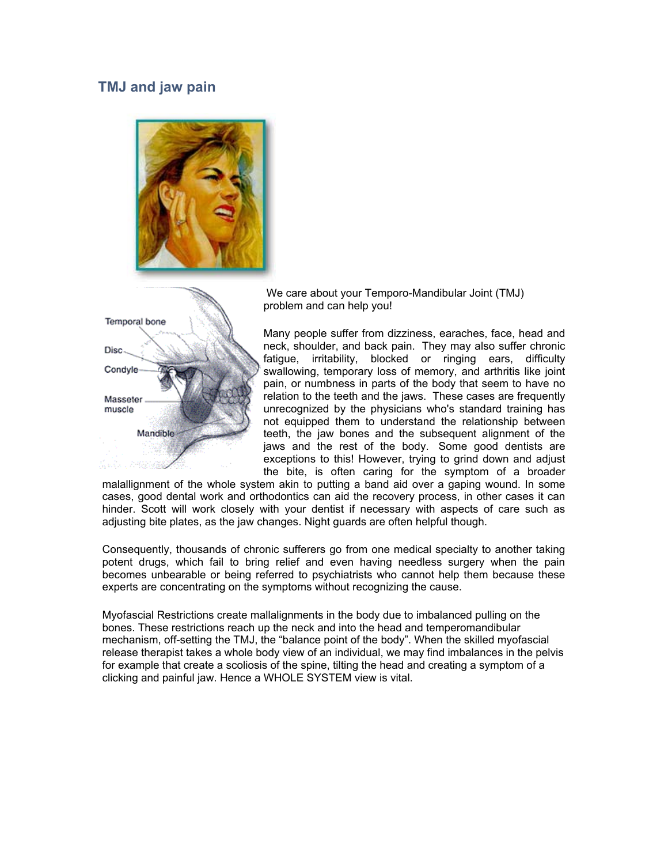## **TMJ and jaw pain**





We care about your Temporo-Mandibular Joint (TMJ) problem and can help you!

Many people suffer from dizziness, earaches, face, head and neck, shoulder, and back pain. They may also suffer chronic fatigue, irritability, blocked or ringing ears, difficulty swallowing, temporary loss of memory, and arthritis like joint pain, or numbness in parts of the body that seem to have no relation to the teeth and the jaws. These cases are frequently unrecognized by the physicians who's standard training has not equipped them to understand the relationship between teeth, the jaw bones and the subsequent alignment of the jaws and the rest of the body. Some good dentists are exceptions to this! However, trying to grind down and adjust the bite, is often caring for the symptom of a broader

malallignment of the whole system akin to putting a band aid over a gaping wound. In some cases, good dental work and orthodontics can aid the recovery process, in other cases it can hinder. Scott will work closely with your dentist if necessary with aspects of care such as adjusting bite plates, as the jaw changes. Night guards are often helpful though.

Consequently, thousands of chronic sufferers go from one medical specialty to another taking potent drugs, which fail to bring relief and even having needless surgery when the pain becomes unbearable or being referred to psychiatrists who cannot help them because these experts are concentrating on the symptoms without recognizing the cause.

Myofascial Restrictions create mallalignments in the body due to imbalanced pulling on the bones. These restrictions reach up the neck and into the head and temperomandibular mechanism, off-setting the TMJ, the "balance point of the body". When the skilled myofascial release therapist takes a whole body view of an individual, we may find imbalances in the pelvis for example that create a scoliosis of the spine, tilting the head and creating a symptom of a clicking and painful jaw. Hence a WHOLE SYSTEM view is vital.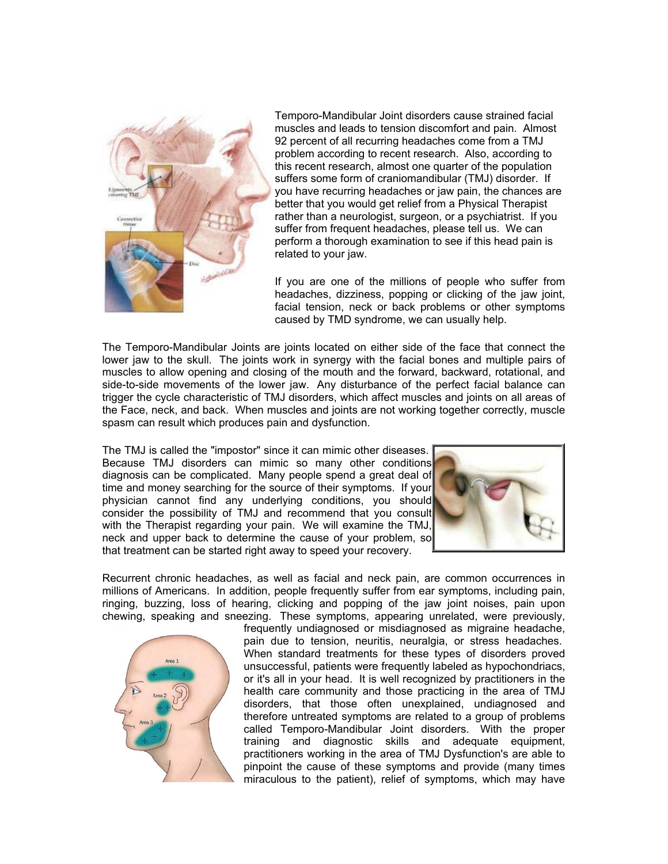

Temporo-Mandibular Joint disorders cause strained facial muscles and leads to tension discomfort and pain. Almost 92 percent of all recurring headaches come from a TMJ problem according to recent research. Also, according to this recent research, almost one quarter of the population suffers some form of craniomandibular (TMJ) disorder. If you have recurring headaches or jaw pain, the chances are better that you would get relief from a Physical Therapist rather than a neurologist, surgeon, or a psychiatrist. If you suffer from frequent headaches, please tell us. We can perform a thorough examination to see if this head pain is related to your jaw.

If you are one of the millions of people who suffer from headaches, dizziness, popping or clicking of the jaw joint, facial tension, neck or back problems or other symptoms caused by TMD syndrome, we can usually help.

The Temporo-Mandibular Joints are joints located on either side of the face that connect the lower jaw to the skull. The joints work in synergy with the facial bones and multiple pairs of muscles to allow opening and closing of the mouth and the forward, backward, rotational, and side-to-side movements of the lower jaw. Any disturbance of the perfect facial balance can trigger the cycle characteristic of TMJ disorders, which affect muscles and joints on all areas of the Face, neck, and back. When muscles and joints are not working together correctly, muscle spasm can result which produces pain and dysfunction.

The TMJ is called the "impostor" since it can mimic other diseases. Because TMJ disorders can mimic so many other conditions diagnosis can be complicated. Many people spend a great deal of time and money searching for the source of their symptoms. If your physician cannot find any underlying conditions, you should consider the possibility of TMJ and recommend that you consult with the Therapist regarding your pain. We will examine the TMJ, neck and upper back to determine the cause of your problem, so that treatment can be started right away to speed your recovery.



Recurrent chronic headaches, as well as facial and neck pain, are common occurrences in millions of Americans. In addition, people frequently suffer from ear symptoms, including pain, ringing, buzzing, loss of hearing, clicking and popping of the jaw joint noises, pain upon chewing, speaking and sneezing. These symptoms, appearing unrelated, were previously,



frequently undiagnosed or misdiagnosed as migraine headache, pain due to tension, neuritis, neuralgia, or stress headaches. When standard treatments for these types of disorders proved unsuccessful, patients were frequently labeled as hypochondriacs, or it's all in your head. It is well recognized by practitioners in the health care community and those practicing in the area of TMJ disorders, that those often unexplained, undiagnosed and therefore untreated symptoms are related to a group of problems called Temporo-Mandibular Joint disorders. With the proper training and diagnostic skills and adequate equipment, practitioners working in the area of TMJ Dysfunction's are able to pinpoint the cause of these symptoms and provide (many times miraculous to the patient), relief of symptoms, which may have